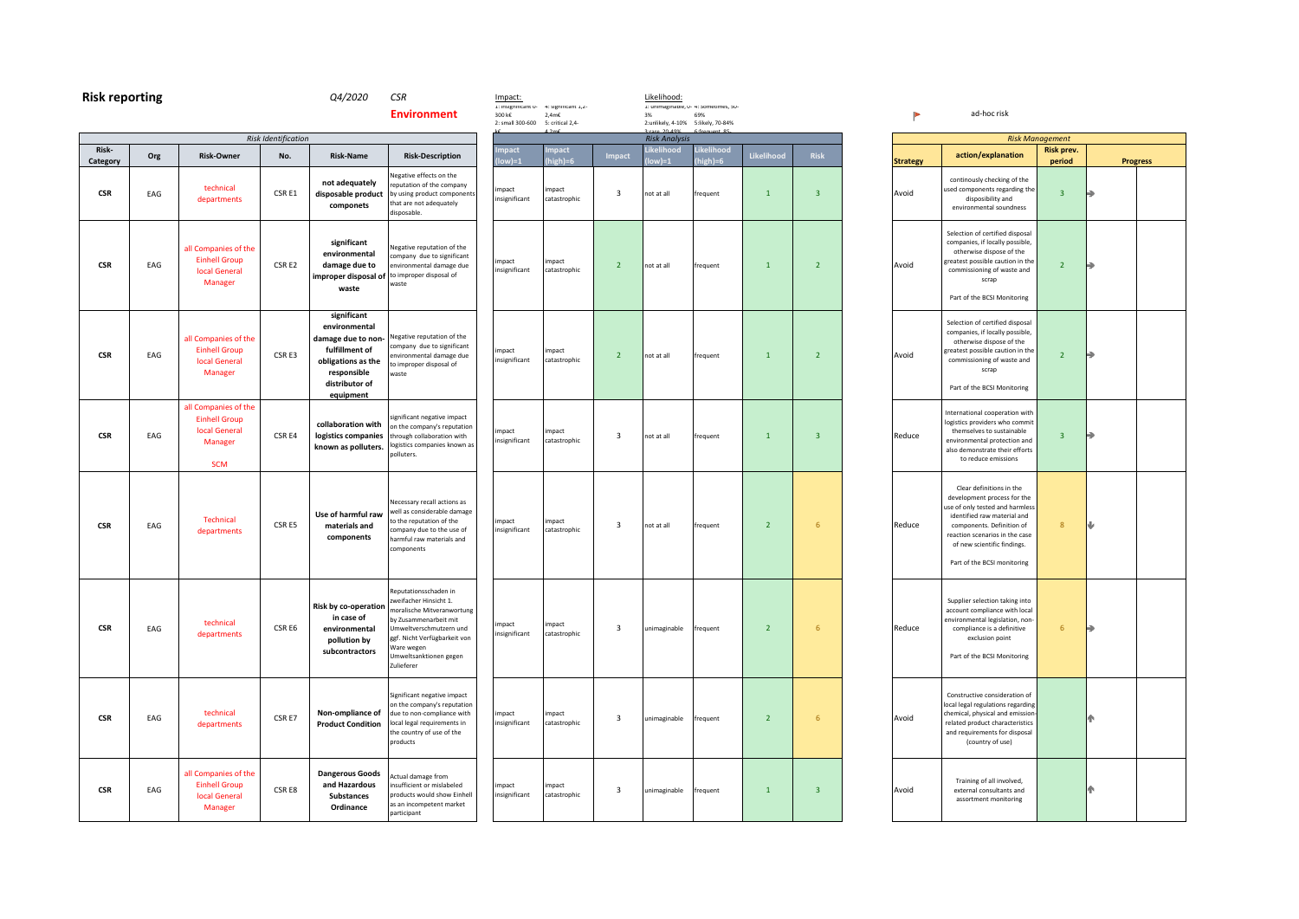| <b>Risk reporting</b> |     |                                                                                               |                            | Q4/2020                                                                                                                                  | <b>CSR</b><br><b>Environment</b>                                                                                                                                                                                       | Impact:<br>1: insignificant u-<br>300 k€ | 4: significant 1,2-<br>$2,4m\epsilon$ |                         | Likelihood:<br>3%       | 1: unimaginable, u- 4: sometimes, su-<br>69% |                |                         |                 | ad-hoc risk                                                                                                                                                                                |
|-----------------------|-----|-----------------------------------------------------------------------------------------------|----------------------------|------------------------------------------------------------------------------------------------------------------------------------------|------------------------------------------------------------------------------------------------------------------------------------------------------------------------------------------------------------------------|------------------------------------------|---------------------------------------|-------------------------|-------------------------|----------------------------------------------|----------------|-------------------------|-----------------|--------------------------------------------------------------------------------------------------------------------------------------------------------------------------------------------|
|                       |     |                                                                                               | <b>Risk Identification</b> |                                                                                                                                          |                                                                                                                                                                                                                        | 2: small 300-600                         | 5: critical 2,4-                      |                         | <b>Risk Analysis</b>    | 2:unlikely, 4-10% 5:likely, 70-84%           |                |                         |                 |                                                                                                                                                                                            |
| Risk-<br>Category     | Org | <b>Risk-Owner</b>                                                                             | No.                        | <b>Risk-Name</b>                                                                                                                         | <b>Risk-Description</b>                                                                                                                                                                                                | npact<br>ow)=1                           | mpact<br>high)=6                      | <b>Impact</b>           | Likelihood<br>$ low =1$ | Likelihood<br>high)=6                        | Likelihood     | <b>Risk</b>             | <b>Strategy</b> | action/explana                                                                                                                                                                             |
| $\mathsf{CSR}$        | EAG | technical<br>departments                                                                      | CSR E1                     | not adequately<br>disposable product<br>componets                                                                                        | legative effects on the<br>eputation of the company<br>by using product components<br>that are not adequately<br>disposable.                                                                                           | impact<br>insignificant                  | impact<br>catastrophic                | $\overline{\mathbf{3}}$ | not at all              | frequent                                     | $\mathbf{1}$   | $\overline{\mathbf{3}}$ | Avoid           | continously checking<br>used components rega<br>disposibility ar<br>environmental sour                                                                                                     |
| <b>CSR</b>            | EAG | all Companies of the<br><b>Einhell Group</b><br><b>local General</b><br>Manager               | CSR E2                     | significant<br>environmental<br>damage due to<br>improper disposal of<br>waste                                                           | legative reputation of the<br>company due to significant<br>environmental damage due<br>to improper disposal of<br>waste                                                                                               | impact<br>insignificant                  | impact<br>catastrophic                | $\overline{2}$          | not at all              | frequent                                     | $\mathbf{1}$   | 2 <sup>2</sup>          | Avoid           | Selection of certified<br>companies, if locally<br>otherwise dispose<br>greatest possible caut<br>commissioning of wa<br>scrap<br>Part of the BCSI Mor                                     |
| <b>CSR</b>            | EAG | all Companies of the<br><b>Einhell Group</b><br><b>local General</b><br>Manager               | CSR E3                     | significant<br>environmental<br>damage due to non-<br>fulfillment of<br>obligations as the<br>responsible<br>distributor of<br>equipment | legative reputation of the<br>ompany due to significant<br>nvironmental damage due<br>to improper disposal of<br>waste                                                                                                 | impact<br>insignificant                  | impact<br>catastrophic                | $\overline{2}$          | not at all              | frequent                                     | $\mathbf{1}$   | $\overline{2}$          | Avoid           | Selection of certified<br>companies, if locally<br>otherwise dispose<br>greatest possible caut<br>commissioning of wa<br>scrap<br>Part of the BCSI Mor                                     |
| <b>CSR</b>            | EAG | all Companies of the<br><b>Einhell Group</b><br><b>local General</b><br>Manager<br><b>SCM</b> | CSR E4                     | collaboration with<br>logistics companies<br>known as polluters.                                                                         | significant negative impact<br>on the company's reputation<br>through collaboration with<br>ogistics companies known as<br>polluters.                                                                                  | impact<br>insignificant                  | impact<br>catastrophic                | 3                       | not at all              | frequent                                     | $\mathbf{1}$   | $\overline{\mathbf{3}}$ | Reduce          | International coopera<br>logistics providers wh<br>themselves to susta<br>environmental proted<br>also demonstrate the<br>to reduce emissi                                                 |
| <b>CSR</b>            | EAG | Technical<br>departments                                                                      | CSR E5                     | Use of harmful raw<br>materials and<br>components                                                                                        | Necessary recall actions as<br>vell as considerable damage<br>to the reputation of the<br>ompany due to the use of<br>harmful raw materials and<br>components                                                          | impact<br>insignificant                  | impact<br>catastrophic                | $\overline{\mathbf{3}}$ | not at all              | frequent                                     | $\overline{2}$ | $6\phantom{1}6$         | Reduce          | Clear definitions i<br>development proces<br>use of only tested and<br>identified raw mate<br>components. Defini<br>reaction scenarios in<br>of new scientific fir<br>Part of the BCSI mor |
| <b>CSR</b>            | EAG | technical<br>departments                                                                      | CSR E6                     | Risk by co-operation<br>in case of<br>environmental<br>pollution by<br>subcontractors                                                    | Reputationsschaden in<br>weifacher Hinsicht 1.<br>moralische Mitveranwortung<br>by Zusammenarbeit mit<br>Jmweltverschmutzern und<br>ggf. Nicht Verfügbarkeit von<br>Vare wegen<br>Umweltsanktionen gegen<br>Zulieferer | impact<br>insignificant                  | impact<br>catastrophic                | 3                       | unimaginable            | frequent                                     | $\overline{2}$ | $6\phantom{1}6$         | Reduce          | Supplier selection tal<br>account compliance v<br>environmental legislat<br>compliance is a def<br>exclusion poir<br>Part of the BCSI Mor                                                  |
| <b>CSR</b>            | EAG | technical<br>departments                                                                      | CSR E7                     | Non-ompliance of<br><b>Product Condition</b>                                                                                             | Significant negative impact<br>on the company's reputation<br>due to non-compliance with<br>local legal requirements in<br>the country of use of the<br>products                                                       | impact<br>insignificant                  | impact<br>catastrophic                | 3                       | unimaginable            | frequent                                     | $\overline{2}$ | $6\phantom{1}6$         | Avoid           | Constructive conside<br>local legal regulations<br>chemical, physical and<br>related product chara<br>and requirements for<br>(country of use                                              |
| <b>CSR</b>            | EAG | all Companies of the<br><b>Einhell Group</b><br><b>local General</b><br>Manager               | CSR E8                     | <b>Dangerous Goods</b><br>and Hazardous<br><b>Substances</b><br>Ordinance                                                                | Actual damage from<br>insufficient or mislabeled<br>products would show Einhell<br>as an incompetent market<br>participant                                                                                             | impact<br>insignificant                  | impact<br>catastrophic                | 3                       | unimaginable            | frequent                                     | $\mathbf{1}$   | $\overline{3}$          | Avoid           | Training of all invo<br>external consultan<br>assortment monit                                                                                                                             |

|                          |                                                                                                                                                                                                                                                        | <b>Risk Management</b> |                 |
|--------------------------|--------------------------------------------------------------------------------------------------------------------------------------------------------------------------------------------------------------------------------------------------------|------------------------|-----------------|
|                          | action/explanation                                                                                                                                                                                                                                     | Risk prev.             |                 |
| <b>Strategy</b><br>Avoid | continously checking of the<br>used components regarding the<br>disposibility and<br>environmental soundness                                                                                                                                           | period<br>3            | <b>Progress</b> |
| Avoid                    | Selection of certified disposal<br>companies, if locally possible,<br>otherwise dispose of the<br>greatest possible caution in the<br>commissioning of waste and<br>scrap<br>Part of the BCSI Monitoring                                               | $\overline{2}$         | a               |
| Avoid                    | Selection of certified disposal<br>companies, if locally possible,<br>otherwise dispose of the<br>greatest possible caution in the<br>commissioning of waste and<br>scrap<br>Part of the BCSI Monitoring                                               | $\overline{2}$         | Ð               |
| Reduce                   | International cooperation with<br>logistics providers who commit<br>themselves to sustainable<br>environmental protection and<br>also demonstrate their efforts<br>to reduce emissions                                                                 | 3                      |                 |
| Reduce                   | Clear definitions in the<br>development process for the<br>use of only tested and harmless<br>identified raw material and<br>components. Definition of<br>reaction scenarios in the case<br>of new scientific findings.<br>Part of the BCSI monitoring | 8                      | ⋓               |
| Reduce                   | Supplier selection taking into<br>account compliance with local<br>environmental legislation, non-<br>compliance is a definitive<br>exclusion point<br>Part of the BCSI Monitoring                                                                     | 6                      | ۹               |
| Avoid                    | Constructive consideration of<br>local legal regulations regarding<br>chemical, physical and emission-<br>related product characteristics<br>and requirements for disposal<br>(country of use)                                                         |                        | ሱ               |
| Avoid                    | Training of all involved,<br>external consultants and<br>assortment monitoring                                                                                                                                                                         |                        |                 |